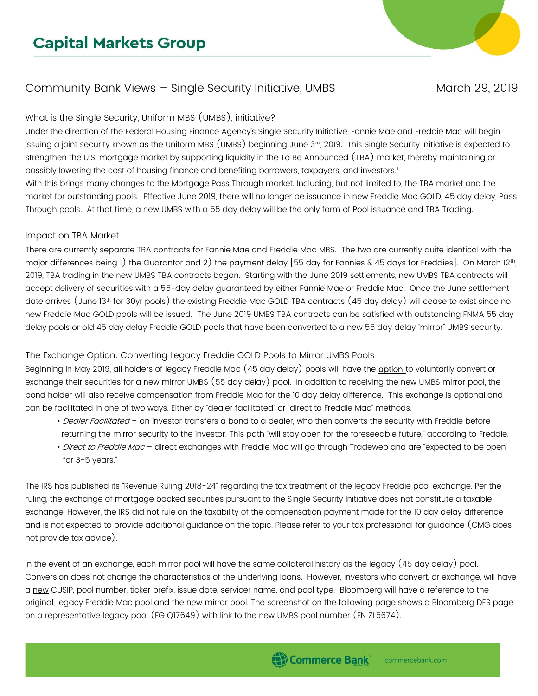# **Capital Markets Group**

## Community Bank Views - Single Security Initiative, UMBS March 29, 2019

#### What is the Single Security, Uniform MBS (UMBS), initiative?

Under the direction of the Federal Housing Finance Agency's Single Security Initiative, Fannie Mae and Freddie Mac will begin issuing a joint security known as the Uniform MBS (UMBS) beginning June 3rd, 2019. This Single Security initiative is expected to strengthen the U.S. mortgage market by supporting liquidity in the To Be Announced (TBA) market, thereby maintaining or possibly lowering the cost of housing finance and benefiting borrowers, taxpayers, and investors.<sup>1</sup>

With this brings many changes to the Mortgage Pass Through market. Including, but not limited to, the TBA market and the market for outstanding pools. Effective June 2019, there will no longer be issuance in new Freddie Mac GOLD, 45 day delay, Pass Through pools. At that time, a new UMBS with a 55 day delay will be the only form of Pool issuance and TBA Trading.

#### Impact on TBA Market

There are currently separate TBA contracts for Fannie Mae and Freddie Mac MBS. The two are currently quite identical with the major differences being 1) the Guarantor and 2) the payment delay [55 day for Fannies & 45 days for Freddies]. On March 12<sup>th</sup>, 2019, TBA trading in the new UMBS TBA contracts began. Starting with the June 2019 settlements, new UMBS TBA contracts will accept delivery of securities with a 55-day delay guaranteed by either Fannie Mae or Freddie Mac. Once the June settlement date arrives (June 13th for 30yr pools) the existing Freddie Mac GOLD TBA contracts (45 day delay) will cease to exist since no new Freddie Mac GOLD pools will be issued. The June 2019 UMBS TBA contracts can be satisfied with outstanding FNMA 55 day delay pools or old 45 day delay Freddie GOLD pools that have been converted to a new 55 day delay "mirror" UMBS security.

#### The Exchange Option: Converting Legacy Freddie GOLD Pools to Mirror UMBS Pools

Beginning in May 2019, all holders of legacy Freddie Mac (45 day delay) pools will have the **option** to voluntarily convert or exchange their securities for a new mirror UMBS (55 day delay) pool. In addition to receiving the new UMBS mirror pool, the bond holder will also receive compensation from Freddie Mac for the 10 day delay difference. This exchange is optional and can be facilitated in one of two ways. Either by "dealer facilitated" or "direct to Freddie Mac" methods.

- Dealer Facilitated an investor transfers a bond to a dealer, who then converts the security with Freddie before returning the mirror security to the investor. This path "will stay open for the foreseeable future," according to Freddie.
- Direct to Freddie Mac direct exchanges with Freddie Mac will go through Tradeweb and are "expected to be open for 3-5 years."

The IRS has published its "Revenue Ruling 2018-24" regarding the tax treatment of the legacy Freddie pool exchange. Per the ruling, the exchange of mortgage backed securities pursuant to the Single Security Initiative does not constitute a taxable exchange. However, the IRS did not rule on the taxability of the compensation payment made for the 10 day delay difference and is not expected to provide additional guidance on the topic. Please refer to your tax professional for guidance (CMG does not provide tax advice).

In the event of an exchange, each mirror pool will have the same collateral history as the legacy (45 day delay) pool. Conversion does not change the characteristics of the underlying loans. However, investors who convert, or exchange, will have a new CUSIP, pool number, ticker prefix, issue date, servicer name, and pool type. Bloomberg will have a reference to the original, legacy Freddie Mac pool and the new mirror pool. The screenshot on the following page shows a Bloomberg DES page on a representative legacy pool (FG Q17649) with link to the new UMBS pool number (FN ZL5674).



 $\mathbb{R}$